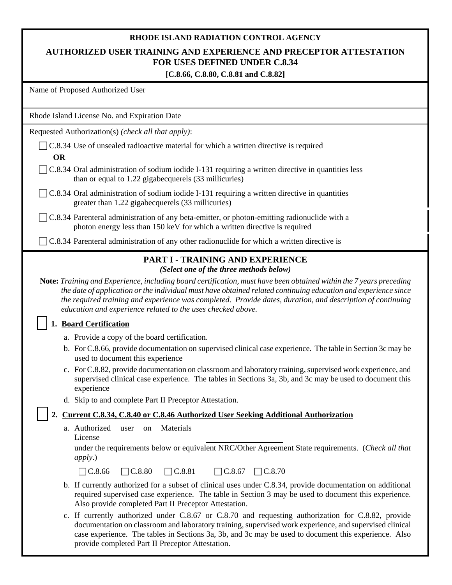#### **RHODE ISLAND RADIATION CONTROL AGENCY**

# **AUTHORIZED USER TRAINING AND EXPERIENCE AND PRECEPTOR ATTESTATION FOR USES DEFINED UNDER C.8.34**

#### **[C.8.66, C.8.80, C.8.81 and C.8.82]**

Name of Proposed Authorized User

Rhode Island License No. and Expiration Date

Requested Authorization(s) *(check all that apply)*:

 $\Box$  C.8.34 Use of unsealed radioactive material for which a written directive is required

- **OR**
- $\Box$  C.8.34 Oral administration of sodium iodide I-131 requiring a written directive in quantities less than or equal to 1.22 gigabecquerels (33 millicuries)
- $\Box$  C.8.34 Oral administration of sodium iodide I-131 requiring a written directive in quantities greater than 1.22 gigabecquerels (33 millicuries)
- $\Box$  C.8.34 Parenteral administration of any beta-emitter, or photon-emitting radionuclide with a photon energy less than 150 keV for which a written directive is required

 $\Box$  C.8.34 Parenteral administration of any other radionuclide for which a written directive is

### **PART I - TRAINING AND EXPERIENCE**  *(Select one of the three methods below)*

**Note:** *Training and Experience, including board certification, must have been obtained within the 7 years preceding the date of application or the individual must have obtained related continuing education and experience since the required training and experience was completed. Provide dates, duration, and description of continuing education and experience related to the uses checked above.*

## **1. Board Certification**

a. Provide a copy of the board certification.

- b. For C.8.66, provide documentation on supervised clinical case experience. The table in Section 3c may be used to document this experience
- c. For C.8.82, provide documentation on classroom and laboratory training, supervised work experience, and supervised clinical case experience. The tables in Sections 3a, 3b, and 3c may be used to document this experience

d. Skip to and complete Part II Preceptor Attestation.

### **2. Current C.8.34, C.8.40 or C.8.46 Authorized User Seeking Additional Authorization**

a. Authorized user on Materials License

under the requirements below or equivalent NRC/Other Agreement State requirements. (*Check all that apply*.)

- $\Box$  C.8.66  $\Box$  C.8.80  $\Box$  C.8.81  $\Box$  C.8.67  $\Box$  C.8.70
- b. If currently authorized for a subset of clinical uses under C.8.34, provide documentation on additional required supervised case experience. The table in Section 3 may be used to document this experience. Also provide completed Part II Preceptor Attestation.
- c. If currently authorized under C.8.67 or C.8.70 and requesting authorization for C.8.82, provide documentation on classroom and laboratory training, supervised work experience, and supervised clinical case experience. The tables in Sections 3a, 3b, and 3c may be used to document this experience. Also provide completed Part II Preceptor Attestation.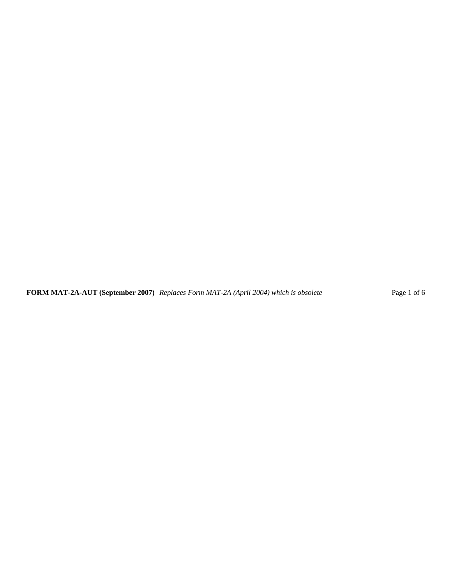**FORM MAT-2A-AUT (September 2007)** *Replaces Form MAT-2A (April 2004) which is obsolete* Page 1 of 6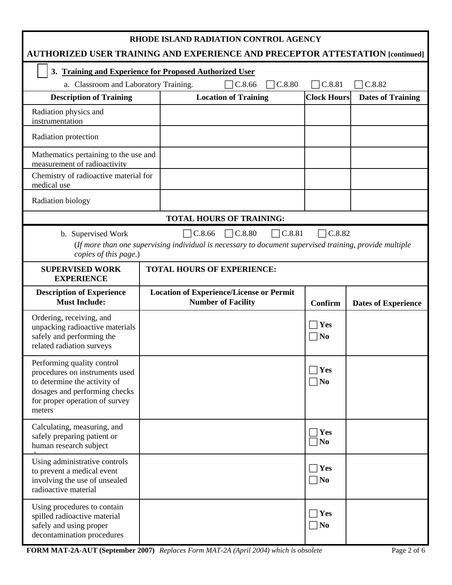| RHODE ISLAND RADIATION CONTROL AGENCY<br><b>AUTHORIZED USER TRAINING AND EXPERIENCE AND PRECEPTOR ATTESTATION [continued]</b>                                                                                                 |                                       |                                                                              |                       |                            |  |  |  |
|-------------------------------------------------------------------------------------------------------------------------------------------------------------------------------------------------------------------------------|---------------------------------------|------------------------------------------------------------------------------|-----------------------|----------------------------|--|--|--|
| 3. Training and Experience for Proposed Authorized User                                                                                                                                                                       |                                       |                                                                              |                       |                            |  |  |  |
| a. Classroom and Laboratory Training.                                                                                                                                                                                         |                                       | C.8.66<br>C.8.80                                                             | C.8.81                | C.8.82                     |  |  |  |
| <b>Description of Training</b>                                                                                                                                                                                                |                                       | <b>Location of Training</b>                                                  | <b>Clock Hours</b>    | <b>Dates of Training</b>   |  |  |  |
| Radiation physics and<br>instrumentation                                                                                                                                                                                      |                                       |                                                                              |                       |                            |  |  |  |
| Radiation protection                                                                                                                                                                                                          |                                       |                                                                              |                       |                            |  |  |  |
| measurement of radioactivity                                                                                                                                                                                                  | Mathematics pertaining to the use and |                                                                              |                       |                            |  |  |  |
| Chemistry of radioactive material for<br>medical use                                                                                                                                                                          |                                       |                                                                              |                       |                            |  |  |  |
| Radiation biology                                                                                                                                                                                                             |                                       |                                                                              |                       |                            |  |  |  |
|                                                                                                                                                                                                                               |                                       | <b>TOTAL HOURS OF TRAINING:</b>                                              |                       |                            |  |  |  |
| $\Box$ C.8.66<br>$\Box$ C.8.80<br>$\bigcap$ C.8.81<br>$\neg$ C.8.82<br>b. Supervised Work<br>(If more than one supervising individual is necessary to document supervised training, provide multiple<br>copies of this page.) |                                       |                                                                              |                       |                            |  |  |  |
| <b>SUPERVISED WORK</b><br><b>EXPERIENCE</b>                                                                                                                                                                                   | <b>TOTAL HOURS OF EXPERIENCE:</b>     |                                                                              |                       |                            |  |  |  |
| <b>Description of Experience</b><br><b>Must Include:</b>                                                                                                                                                                      |                                       | <b>Location of Experience/License or Permit</b><br><b>Number of Facility</b> | Confirm               | <b>Dates of Experience</b> |  |  |  |
| Ordering, receiving, and<br>unpacking radioactive materials<br>safely and performing the<br>related radiation surveys                                                                                                         |                                       |                                                                              | Yes<br>$\Box$ No      |                            |  |  |  |
| Performing quality control<br>procedures on instruments used<br>to determine the activity of<br>dosages and performing checks<br>for proper operation of survey<br>meters                                                     |                                       |                                                                              | Yes<br>$\Box$ No      |                            |  |  |  |
| Calculating, measuring, and<br>safely preparing patient or<br>human research subject                                                                                                                                          |                                       |                                                                              | Yes<br>N <sub>0</sub> |                            |  |  |  |
| Using administrative controls<br>to prevent a medical event<br>involving the use of unsealed<br>radioactive material                                                                                                          |                                       |                                                                              | Yes<br>$\Box$ No      |                            |  |  |  |
| Using procedures to contain<br>spilled radioactive material<br>safely and using proper<br>decontamination procedures                                                                                                          |                                       |                                                                              | Yes<br>$\neg$ No      |                            |  |  |  |

**FORM MAT-2A-AUT (September 2007)** *Replaces Form MAT-2A (April 2004) which is obsolete* Page 2 of 6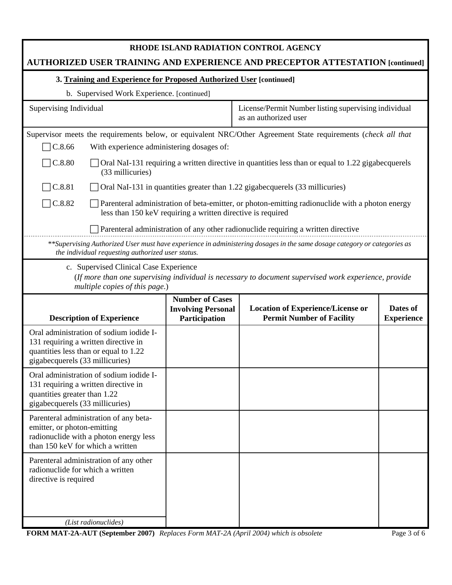| RHODE ISLAND RADIATION CONTROL AGENCY<br>AUTHORIZED USER TRAINING AND EXPERIENCE AND PRECEPTOR ATTESTATION [continued]                                                            |                                                                      |                                                                                                                          |                               |  |  |  |
|-----------------------------------------------------------------------------------------------------------------------------------------------------------------------------------|----------------------------------------------------------------------|--------------------------------------------------------------------------------------------------------------------------|-------------------------------|--|--|--|
| 3. Training and Experience for Proposed Authorized User [continued]                                                                                                               |                                                                      |                                                                                                                          |                               |  |  |  |
|                                                                                                                                                                                   | b. Supervised Work Experience. [continued]                           |                                                                                                                          |                               |  |  |  |
| Supervising Individual                                                                                                                                                            |                                                                      | License/Permit Number listing supervising individual<br>as an authorized user                                            |                               |  |  |  |
| $\neg$ C.8.66<br>With experience administering dosages of:                                                                                                                        |                                                                      | Supervisor meets the requirements below, or equivalent NRC/Other Agreement State requirements (check all that            |                               |  |  |  |
| $\neg$ C.8.80<br>Oral NaI-131 requiring a written directive in quantities less than or equal to 1.22 gigabecquerels<br>(33 millicuries)                                           |                                                                      |                                                                                                                          |                               |  |  |  |
| $\neg$ C.8.81<br>Oral NaI-131 in quantities greater than 1.22 gigabecquerels (33 millicuries)                                                                                     |                                                                      |                                                                                                                          |                               |  |  |  |
| $\neg$ C.8.82<br>Parenteral administration of beta-emitter, or photon-emitting radionuclide with a photon energy<br>less than 150 keV requiring a written directive is required   |                                                                      |                                                                                                                          |                               |  |  |  |
|                                                                                                                                                                                   |                                                                      | Parenteral administration of any other radionuclide requiring a written directive                                        |                               |  |  |  |
| the individual requesting authorized user status.                                                                                                                                 |                                                                      | **Supervising Authorized User must have experience in administering dosages in the same dosage category or categories as |                               |  |  |  |
| c. Supervised Clinical Case Experience<br>(If more than one supervising individual is necessary to document supervised work experience, provide<br>multiple copies of this page.) |                                                                      |                                                                                                                          |                               |  |  |  |
| <b>Description of Experience</b>                                                                                                                                                  | <b>Number of Cases</b><br><b>Involving Personal</b><br>Participation | <b>Location of Experience/License or</b><br><b>Permit Number of Facility</b>                                             | Dates of<br><b>Experience</b> |  |  |  |
| Oral administration of sodium iodide I-<br>131 requiring a written directive in<br>quantities less than or equal to 1.22<br>gigabecquerels (33 millicuries)                       |                                                                      |                                                                                                                          |                               |  |  |  |
| Oral administration of sodium iodide I-<br>131 requiring a written directive in<br>quantities greater than 1.22<br>gigabecquerels (33 millicuries)                                |                                                                      |                                                                                                                          |                               |  |  |  |
| Parenteral administration of any beta-<br>emitter, or photon-emitting<br>radionuclide with a photon energy less<br>than 150 keV for which a written                               |                                                                      |                                                                                                                          |                               |  |  |  |
| Parenteral administration of any other<br>radionuclide for which a written<br>directive is required                                                                               |                                                                      |                                                                                                                          |                               |  |  |  |
| (List radionuclides)                                                                                                                                                              |                                                                      |                                                                                                                          |                               |  |  |  |

**FORM MAT-2A-AUT (September 2007)** *Replaces Form MAT-2A (April 2004) which is obsolete* Page 3 of 6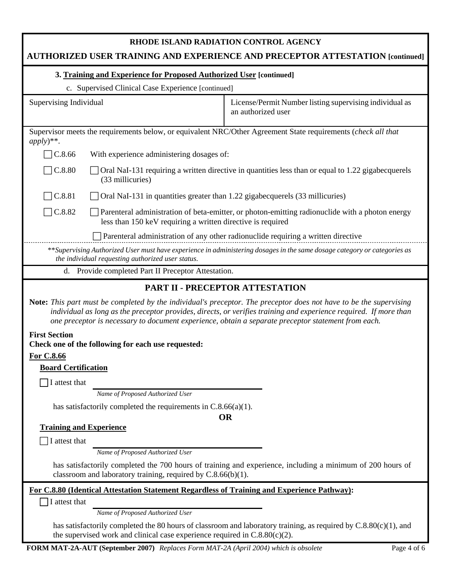### **RHODE ISLAND RADIATION CONTROL AGENCY**

# **AUTHORIZED USER TRAINING AND EXPERIENCE AND PRECEPTOR ATTESTATION [continued]**

#### **3. Training and Experience for Proposed Authorized User [continued]**

| c. Supervised Clinical Case Experience [continued] |
|----------------------------------------------------|
|----------------------------------------------------|

| Supervising Individual                                                                                                                                                                                                                                                                                                                         | License/Permit Number listing supervising individual as<br>an authorized user                                                                                  |  |  |  |  |
|------------------------------------------------------------------------------------------------------------------------------------------------------------------------------------------------------------------------------------------------------------------------------------------------------------------------------------------------|----------------------------------------------------------------------------------------------------------------------------------------------------------------|--|--|--|--|
| Supervisor meets the requirements below, or equivalent NRC/Other Agreement State requirements (check all that<br>$apply$ <sup>**</sup> .                                                                                                                                                                                                       |                                                                                                                                                                |  |  |  |  |
| C.8.66<br>With experience administering dosages of:                                                                                                                                                                                                                                                                                            |                                                                                                                                                                |  |  |  |  |
| C.8.80<br>(33 millicuries)                                                                                                                                                                                                                                                                                                                     | Oral NaI-131 requiring a written directive in quantities less than or equal to 1.22 gigabecquerels                                                             |  |  |  |  |
| $\neg$ C.8.81                                                                                                                                                                                                                                                                                                                                  | Oral NaI-131 in quantities greater than 1.22 gigabecquerels (33 millicuries)                                                                                   |  |  |  |  |
| C.8.82                                                                                                                                                                                                                                                                                                                                         | Parenteral administration of beta-emitter, or photon-emitting radionuclide with a photon energy<br>less than 150 keV requiring a written directive is required |  |  |  |  |
| Parenteral administration of any other radionuclide requiring a written directive                                                                                                                                                                                                                                                              |                                                                                                                                                                |  |  |  |  |
| ** Supervising Authorized User must have experience in administering dosages in the same dosage category or categories as<br>the individual requesting authorized user status.                                                                                                                                                                 |                                                                                                                                                                |  |  |  |  |
| d. Provide completed Part II Preceptor Attestation.                                                                                                                                                                                                                                                                                            |                                                                                                                                                                |  |  |  |  |
| PART II - PRECEPTOR ATTESTATION                                                                                                                                                                                                                                                                                                                |                                                                                                                                                                |  |  |  |  |
| Note: This part must be completed by the individual's preceptor. The preceptor does not have to be the supervising<br>individual as long as the preceptor provides, directs, or verifies training and experience required. If more than<br>one preceptor is necessary to document experience, obtain a separate preceptor statement from each. |                                                                                                                                                                |  |  |  |  |
| <b>First Section</b><br>Check one of the following for each use requested:                                                                                                                                                                                                                                                                     |                                                                                                                                                                |  |  |  |  |
| For C.8.66                                                                                                                                                                                                                                                                                                                                     |                                                                                                                                                                |  |  |  |  |
| <b>Board Certification</b>                                                                                                                                                                                                                                                                                                                     |                                                                                                                                                                |  |  |  |  |
| I attest that                                                                                                                                                                                                                                                                                                                                  |                                                                                                                                                                |  |  |  |  |
| Name of Proposed Authorized User                                                                                                                                                                                                                                                                                                               |                                                                                                                                                                |  |  |  |  |
| has satisfactorily completed the requirements in $C.8.66(a)(1)$ .                                                                                                                                                                                                                                                                              | <b>OR</b>                                                                                                                                                      |  |  |  |  |
| <b>Training and Experience</b>                                                                                                                                                                                                                                                                                                                 |                                                                                                                                                                |  |  |  |  |
| I attest that                                                                                                                                                                                                                                                                                                                                  |                                                                                                                                                                |  |  |  |  |
| Name of Proposed Authorized User                                                                                                                                                                                                                                                                                                               |                                                                                                                                                                |  |  |  |  |
| has satisfactorily completed the 700 hours of training and experience, including a minimum of 200 hours of<br>classroom and laboratory training, required by $C.8.66(b)(1)$ .                                                                                                                                                                  |                                                                                                                                                                |  |  |  |  |
| For C.8.80 (Identical Attestation Statement Regardless of Training and Experience Pathway):                                                                                                                                                                                                                                                    |                                                                                                                                                                |  |  |  |  |
| $\prod$ I attest that                                                                                                                                                                                                                                                                                                                          |                                                                                                                                                                |  |  |  |  |
| Name of Proposed Authorized User                                                                                                                                                                                                                                                                                                               |                                                                                                                                                                |  |  |  |  |
| has satisfactorily completed the 80 hours of classroom and laboratory training, as required by $C.8.80(c)(1)$ , and<br>the supervised work and clinical case experience required in $C.8.80(c)(2)$ .                                                                                                                                           |                                                                                                                                                                |  |  |  |  |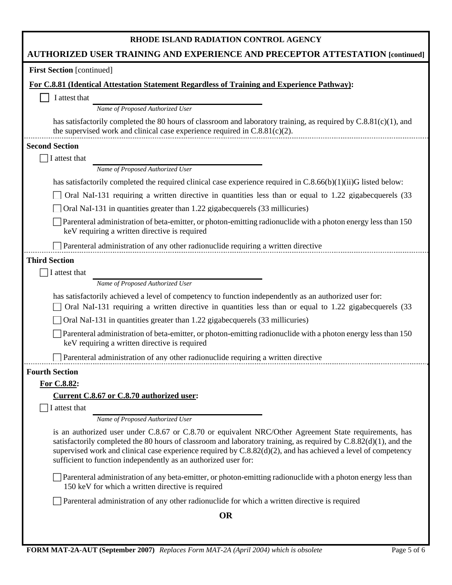| RHODE ISLAND RADIATION CONTROL AGENCY                                                                                                                                                                                                                                                                                                                                                                          |  |  |  |  |
|----------------------------------------------------------------------------------------------------------------------------------------------------------------------------------------------------------------------------------------------------------------------------------------------------------------------------------------------------------------------------------------------------------------|--|--|--|--|
| <b>AUTHORIZED USER TRAINING AND EXPERIENCE AND PRECEPTOR ATTESTATION [continued]</b>                                                                                                                                                                                                                                                                                                                           |  |  |  |  |
| <b>First Section</b> [continued]                                                                                                                                                                                                                                                                                                                                                                               |  |  |  |  |
| For C.8.81 (Identical Attestation Statement Regardless of Training and Experience Pathway):                                                                                                                                                                                                                                                                                                                    |  |  |  |  |
| I attest that                                                                                                                                                                                                                                                                                                                                                                                                  |  |  |  |  |
| Name of Proposed Authorized User                                                                                                                                                                                                                                                                                                                                                                               |  |  |  |  |
| has satisfactorily completed the 80 hours of classroom and laboratory training, as required by $C.8.81(c)(1)$ , and<br>the supervised work and clinical case experience required in $C.8.81(c)(2)$ .                                                                                                                                                                                                           |  |  |  |  |
| <b>Second Section</b>                                                                                                                                                                                                                                                                                                                                                                                          |  |  |  |  |
| I attest that                                                                                                                                                                                                                                                                                                                                                                                                  |  |  |  |  |
| Name of Proposed Authorized User                                                                                                                                                                                                                                                                                                                                                                               |  |  |  |  |
| has satisfactorily completed the required clinical case experience required in $C.8.66(b)(1)(ii)G$ listed below:                                                                                                                                                                                                                                                                                               |  |  |  |  |
| Oral NaI-131 requiring a written directive in quantities less than or equal to 1.22 gigabecquerels (33                                                                                                                                                                                                                                                                                                         |  |  |  |  |
| $\Box$ Oral NaI-131 in quantities greater than 1.22 gigabecquerels (33 millicuries)                                                                                                                                                                                                                                                                                                                            |  |  |  |  |
| Parenteral administration of beta-emitter, or photon-emitting radionuclide with a photon energy less than 150<br>keV requiring a written directive is required                                                                                                                                                                                                                                                 |  |  |  |  |
| Parenteral administration of any other radionuclide requiring a written directive                                                                                                                                                                                                                                                                                                                              |  |  |  |  |
| <b>Third Section</b>                                                                                                                                                                                                                                                                                                                                                                                           |  |  |  |  |
| I attest that                                                                                                                                                                                                                                                                                                                                                                                                  |  |  |  |  |
| Name of Proposed Authorized User                                                                                                                                                                                                                                                                                                                                                                               |  |  |  |  |
| has satisfactorily achieved a level of competency to function independently as an authorized user for:<br>$\Box$ Oral NaI-131 requiring a written directive in quantities less than or equal to 1.22 gigabecquerels (33                                                                                                                                                                                        |  |  |  |  |
| $\Box$ Oral NaI-131 in quantities greater than 1.22 gigabecquerels (33 millicuries)                                                                                                                                                                                                                                                                                                                            |  |  |  |  |
| Parenteral administration of beta-emitter, or photon-emitting radionuclide with a photon energy less than 150<br>keV requiring a written directive is required                                                                                                                                                                                                                                                 |  |  |  |  |
| Parenteral administration of any other radionuclide requiring a written directive                                                                                                                                                                                                                                                                                                                              |  |  |  |  |
| <b>Fourth Section</b>                                                                                                                                                                                                                                                                                                                                                                                          |  |  |  |  |
| For C.8.82:                                                                                                                                                                                                                                                                                                                                                                                                    |  |  |  |  |
| Current C.8.67 or C.8.70 authorized user:                                                                                                                                                                                                                                                                                                                                                                      |  |  |  |  |
| I attest that                                                                                                                                                                                                                                                                                                                                                                                                  |  |  |  |  |
| Name of Proposed Authorized User                                                                                                                                                                                                                                                                                                                                                                               |  |  |  |  |
| is an authorized user under C.8.67 or C.8.70 or equivalent NRC/Other Agreement State requirements, has<br>satisfactorily completed the 80 hours of classroom and laboratory training, as required by C.8.82(d)(1), and the<br>supervised work and clinical case experience required by C.8.82(d)(2), and has achieved a level of competency<br>sufficient to function independently as an authorized user for: |  |  |  |  |
| Parenteral administration of any beta-emitter, or photon-emitting radionuclide with a photon energy less than<br>150 keV for which a written directive is required                                                                                                                                                                                                                                             |  |  |  |  |
| Parenteral administration of any other radionuclide for which a written directive is required                                                                                                                                                                                                                                                                                                                  |  |  |  |  |
| <b>OR</b>                                                                                                                                                                                                                                                                                                                                                                                                      |  |  |  |  |